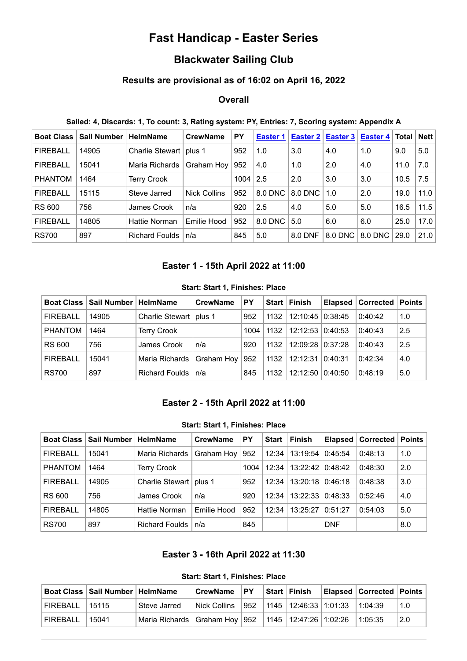# **Fast Handicap - Easter Series**

## **Blackwater Sailing Club**

## **Results are provisional as of 16:02 on April 16, 2022**

### **Overall**

#### **Sailed: 4, Discards: 1, To count: 3, Rating system: PY, Entries: 7, Scoring system: Appendix A**

| <b>Boat Class</b> | <b>Sail Number</b> | <b>HelmName</b>      | <b>CrewName</b>     | PY   | Easter 1 | Easter 2 | <b>Easter 3</b> | Easter $4$ | Total | <b>Nett</b> |
|-------------------|--------------------|----------------------|---------------------|------|----------|----------|-----------------|------------|-------|-------------|
| <b>FIREBALL</b>   | 14905              | Charlie Stewart      | plus 1              | 952  | 1.0      | 3.0      | 4.0             | 1.0        | 9.0   | 5.0         |
| <b>FIREBALL</b>   | 15041              | Maria Richards       | Graham Hoy          | 952  | 4.0      | 1.0      | 2.0             | 4.0        | 11.0  | 7.0         |
| <b>PHANTOM</b>    | 1464               | <b>Terry Crook</b>   |                     | 1004 | 2.5      | 2.0      | 3.0             | 3.0        | 10.5  | 7.5         |
| <b>FIREBALL</b>   | 15115              | Steve Jarred         | <b>Nick Collins</b> | 952  | 8.0 DNC  | 8.0 DNC  | 1.0             | 2.0        | 19.0  | 11.0        |
| <b>RS 600</b>     | 756                | James Crook          | n/a                 | 920  | 2.5      | 4.0      | 5.0             | 5.0        | 16.5  | 11.5        |
| <b>FIREBALL</b>   | 14805              | <b>Hattie Norman</b> | Emilie Hood         | 952  | 8.0 DNC  | 5.0      | 6.0             | 6.0        | 25.0  | 17.0        |
| <b>RS700</b>      | 897                | Richard Foulds       | n/a                 | 845  | 5.0      | 8.0 DNF  | 8.0 DNC         | 8.0 DNC    | 29.0  | 21.0        |

## **Easter 1 - 15th April 2022 at 11:00**

#### **Start: Start 1, Finishes: Place**

<span id="page-0-0"></span>

|                 | Boat Class   Sail Number   HelmName |                          | <b>CrewName</b> | PY   |      | Start   Finish       |         | Elapsed   Corrected   Points |     |
|-----------------|-------------------------------------|--------------------------|-----------------|------|------|----------------------|---------|------------------------------|-----|
| <b>FIREBALL</b> | 14905                               | Charlie Stewart   plus 1 |                 | 952  | 1132 | $12:10:45$ 0:38:45   |         | 0:40:42                      | 1.0 |
| <b>PHANTOM</b>  | 1464                                | <b>Terry Crook</b>       |                 | 1004 | 1132 | 12:12:5310:40:53     |         | 0:40:43                      | 2.5 |
| <b>RS 600</b>   | 756                                 | James Crook              | n/a             | 920  | 1132 | $12:09:28$ $0:37:28$ |         | 0:40:43                      | 2.5 |
| <b>FIREBALL</b> | 15041                               | Maria Richards           | Graham Hoy      | 952  | 1132 | 12:12:31             | 0.40:31 | 0:42:34                      | 4.0 |
| <b>RS700</b>    | 897                                 | Richard Foulds           | ˈn/a            | 845  | 1132 | 12:12:50             | 0:40:50 | 0:48:19                      | 5.0 |

#### **Easter 2 - 15th April 2022 at 11:00**

#### **Start: Start 1, Finishes: Place**

<span id="page-0-1"></span>

| <b>Boat Class</b> | Sail Number | <b>HelmName</b>       | <b>CrewName</b> | PY   | <b>Start</b> | <b>Finish</b>    | <b>Elapsed</b> | Corrected | <b>Points</b> |
|-------------------|-------------|-----------------------|-----------------|------|--------------|------------------|----------------|-----------|---------------|
| <b>FIREBALL</b>   | 15041       | Maria Richards        | Graham Hoy      | 952  | 12:34        | 13:19:54 0:45:54 |                | 0:48:13   | 1.0           |
| <b>PHANTOM</b>    | 1464        | <b>Terry Crook</b>    |                 | 1004 | 12:34        | 13:22:42 0:48:42 |                | 0:48:30   | 2.0           |
| <b>FIREBALL</b>   | 14905       | Charlie Stewart       | plus 1          | 952  | 12:34        | 13:20:18 0:46:18 |                | 0:48:38   | 3.0           |
| RS 600            | 756         | James Crook           | n/a             | 920  | 12:34        | 13:22:33 0:48:33 |                | 0:52:46   | 4.0           |
| <b>FIREBALL</b>   | 14805       | Hattie Norman         | Emilie Hood     | 952  | 12:34        | 13:25:27         | 0:51:27        | 0:54:03   | 5.0           |
| <b>RS700</b>      | 897         | <b>Richard Foulds</b> | n/a             | 845  |              |                  | <b>DNF</b>     |           | 8.0           |

## **Easter 3 - 16th April 2022 at 11:30**

**Start: Start 1, Finishes: Place**

<span id="page-0-2"></span>

|                | Boat Class   Sail Number   HelmName |                                                               | l CrewName    | $ $ PY | Start Finish                                      | <b>Elapsed Corrected Points</b> |     |
|----------------|-------------------------------------|---------------------------------------------------------------|---------------|--------|---------------------------------------------------|---------------------------------|-----|
| FIREBALL 15115 |                                     | Steve Jarred                                                  | ∣Nick Collins |        | $\vert$ 952   1145   12:46:33   1:01:33   1:04:39 |                                 | 1.0 |
| FIREBALL       | 15041                               | Maria Richards   Graham Hoy   952   1145   12:47:26   1:02:26 |               |        |                                                   | 11:05:35                        | 2.0 |